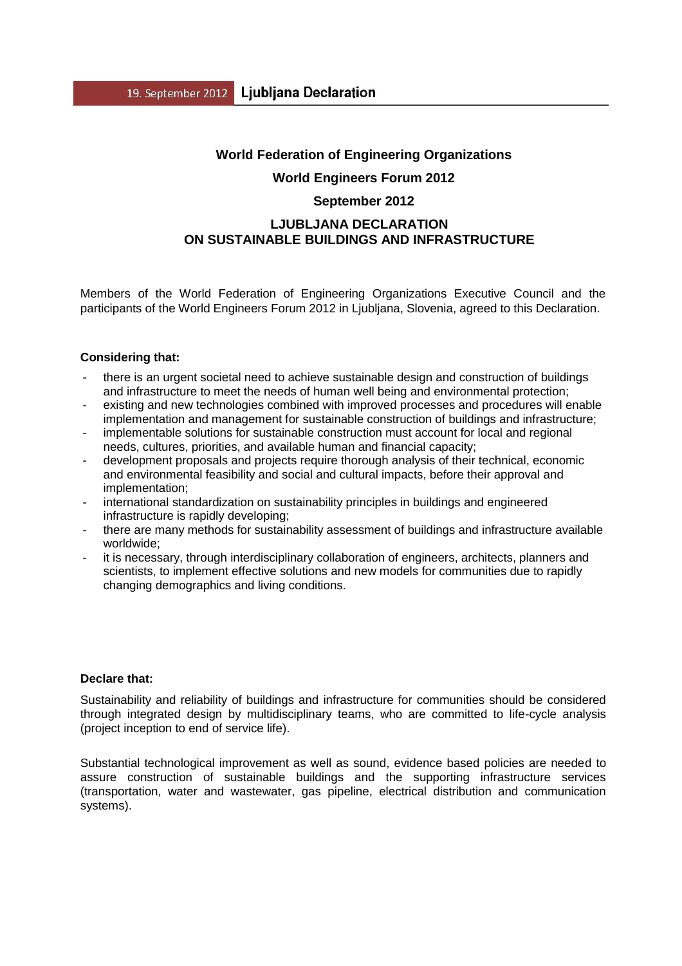## **World Federation of Engineering Organizations**

### **World Engineers Forum 2012**

#### **September 2012**

## **LJUBLJANA DECLARATION ON SUSTAINABLE BUILDINGS AND INFRASTRUCTURE**

Members of the World Federation of Engineering Organizations Executive Council and the participants of the World Engineers Forum 2012 in Ljubljana, Slovenia, agreed to this Declaration.

#### **Considering that:**

- there is an urgent societal need to achieve sustainable design and construction of buildings and infrastructure to meet the needs of human well being and environmental protection;
- existing and new technologies combined with improved processes and procedures will enable implementation and management for sustainable construction of buildings and infrastructure;
- implementable solutions for sustainable construction must account for local and regional needs, cultures, priorities, and available human and financial capacity;
- development proposals and projects require thorough analysis of their technical, economic and environmental feasibility and social and cultural impacts, before their approval and implementation;
- international standardization on sustainability principles in buildings and engineered infrastructure is rapidly developing;
- there are many methods for sustainability assessment of buildings and infrastructure available worldwide;
- it is necessary, through interdisciplinary collaboration of engineers, architects, planners and scientists, to implement effective solutions and new models for communities due to rapidly changing demographics and living conditions.

### **Declare that:**

Sustainability and reliability of buildings and infrastructure for communities should be considered through integrated design by multidisciplinary teams, who are committed to life-cycle analysis (project inception to end of service life).

Substantial technological improvement as well as sound, evidence based policies are needed to assure construction of sustainable buildings and the supporting infrastructure services (transportation, water and wastewater, gas pipeline, electrical distribution and communication systems).